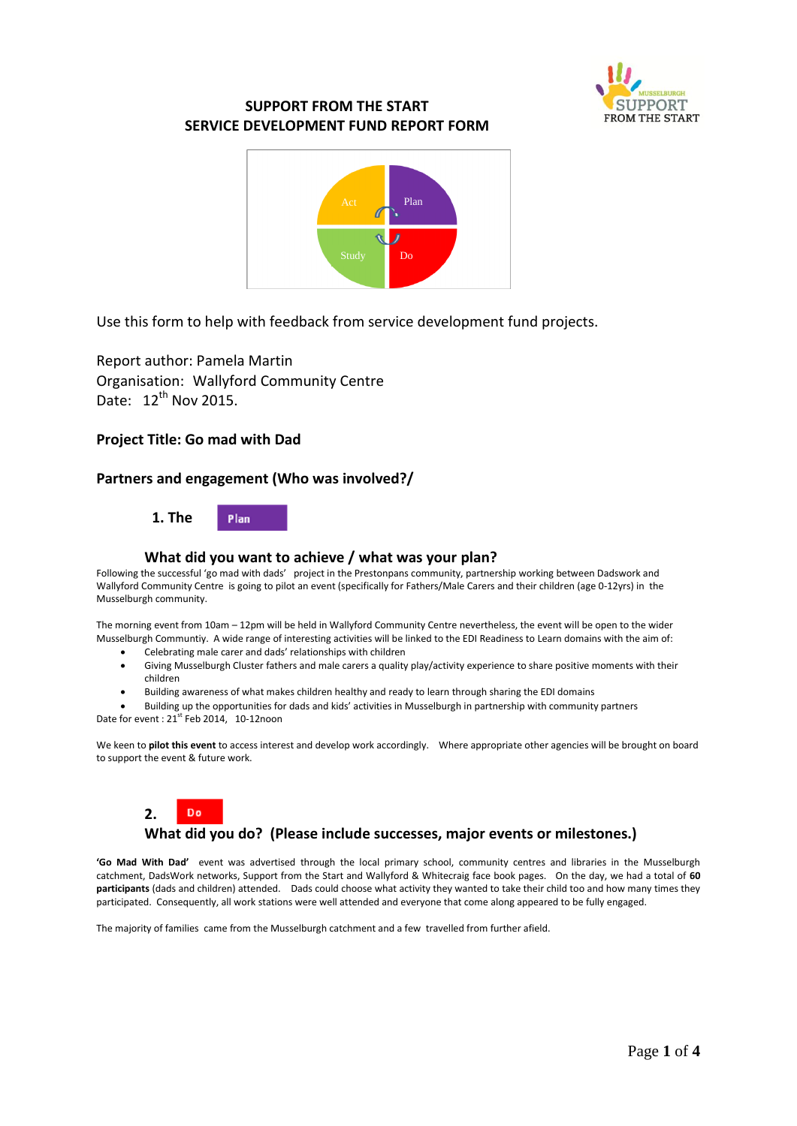

## **SUPPORT FROM THE START SERVICE DEVELOPMENT FUND REPORT FORM**



Use this form to help with feedback from service development fund projects.

Report author: Pamela Martin Organisation: Wallyford Community Centre Date:  $12^{th}$  Nov 2015.

## **Project Title: Go mad with Dad**

## **Partners and engagement (Who was involved?/**



### **What did you want to achieve / what was your plan?**

Following the successful 'go mad with dads' project in the Prestonpans community, partnership working between Dadswork and Wallyford Community Centre is going to pilot an event (specifically for Fathers/Male Carers and their children (age 0-12yrs) in the Musselburgh community.

The morning event from 10am – 12pm will be held in Wallyford Community Centre nevertheless, the event will be open to the wider Musselburgh Communtiy. A wide range of interesting activities will be linked to the EDI Readiness to Learn domains with the aim of:

- Celebrating male carer and dads' relationships with children
- Giving Musselburgh Cluster fathers and male carers a quality play/activity experience to share positive moments with their children
- Building awareness of what makes children healthy and ready to learn through sharing the EDI domains
- Building up the opportunities for dads and kids' activities in Musselburgh in partnership with community partners

Date for event : 21st Feb 2014, 10-12noon

We keen to **pilot this event** to access interest and develop work accordingly. Where appropriate other agencies will be brought on board to support the event & future work.

#### Do **2. What did you do? (Please include successes, major events or milestones.)**

**'Go Mad With Dad'** event was advertised through the local primary school, community centres and libraries in the Musselburgh catchment, DadsWork networks, Support from the Start and Wallyford & Whitecraig face book pages. On the day, we had a total of **60 participants** (dads and children) attended. Dads could choose what activity they wanted to take their child too and how many times they participated. Consequently, all work stations were well attended and everyone that come along appeared to be fully engaged.

The majority of families came from the Musselburgh catchment and a few travelled from further afield.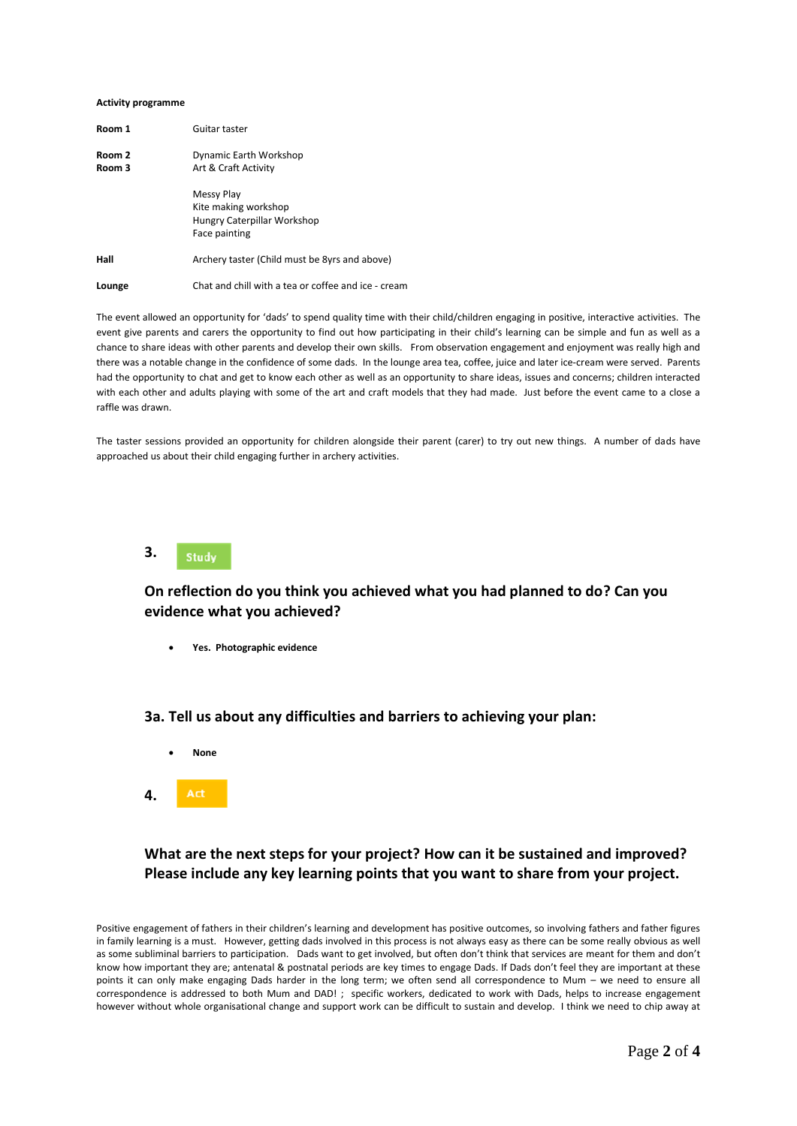#### **Activity programme**

| Room 1           | Guitar taster                                                                      |
|------------------|------------------------------------------------------------------------------------|
| Room 2<br>Room 3 | Dynamic Earth Workshop<br>Art & Craft Activity                                     |
|                  | Messy Play<br>Kite making workshop<br>Hungry Caterpillar Workshop<br>Face painting |
| Hall             | Archery taster (Child must be 8yrs and above)                                      |
| Lounge           | Chat and chill with a tea or coffee and ice - cream                                |

The event allowed an opportunity for 'dads' to spend quality time with their child/children engaging in positive, interactive activities. The event give parents and carers the opportunity to find out how participating in their child's learning can be simple and fun as well as a chance to share ideas with other parents and develop their own skills. From observation engagement and enjoyment was really high and there was a notable change in the confidence of some dads. In the lounge area tea, coffee, juice and later ice-cream were served. Parents had the opportunity to chat and get to know each other as well as an opportunity to share ideas, issues and concerns; children interacted with each other and adults playing with some of the art and craft models that they had made. Just before the event came to a close a raffle was drawn.

The taster sessions provided an opportunity for children alongside their parent (carer) to try out new things. A number of dads have approached us about their child engaging further in archery activities.



## **On reflection do you think you achieved what you had planned to do? Can you evidence what you achieved?**

**Yes. Photographic evidence** 

### **3a. Tell us about any difficulties and barriers to achieving your plan:**

**None**



## **What are the next steps for your project? How can it be sustained and improved? Please include any key learning points that you want to share from your project.**

Positive engagement of fathers in their children's learning and development has positive outcomes, so involving fathers and father figures in family learning is a must. However, getting dads involved in this process is not always easy as there can be some really obvious as well as some subliminal barriers to participation. Dads want to get involved, but often don't think that services are meant for them and don't know how important they are; antenatal & postnatal periods are key times to engage Dads. If Dads don't feel they are important at these points it can only make engaging Dads harder in the long term; we often send all correspondence to Mum – we need to ensure all correspondence is addressed to both Mum and DAD! ; specific workers, dedicated to work with Dads, helps to increase engagement however without whole organisational change and support work can be difficult to sustain and develop. I think we need to chip away at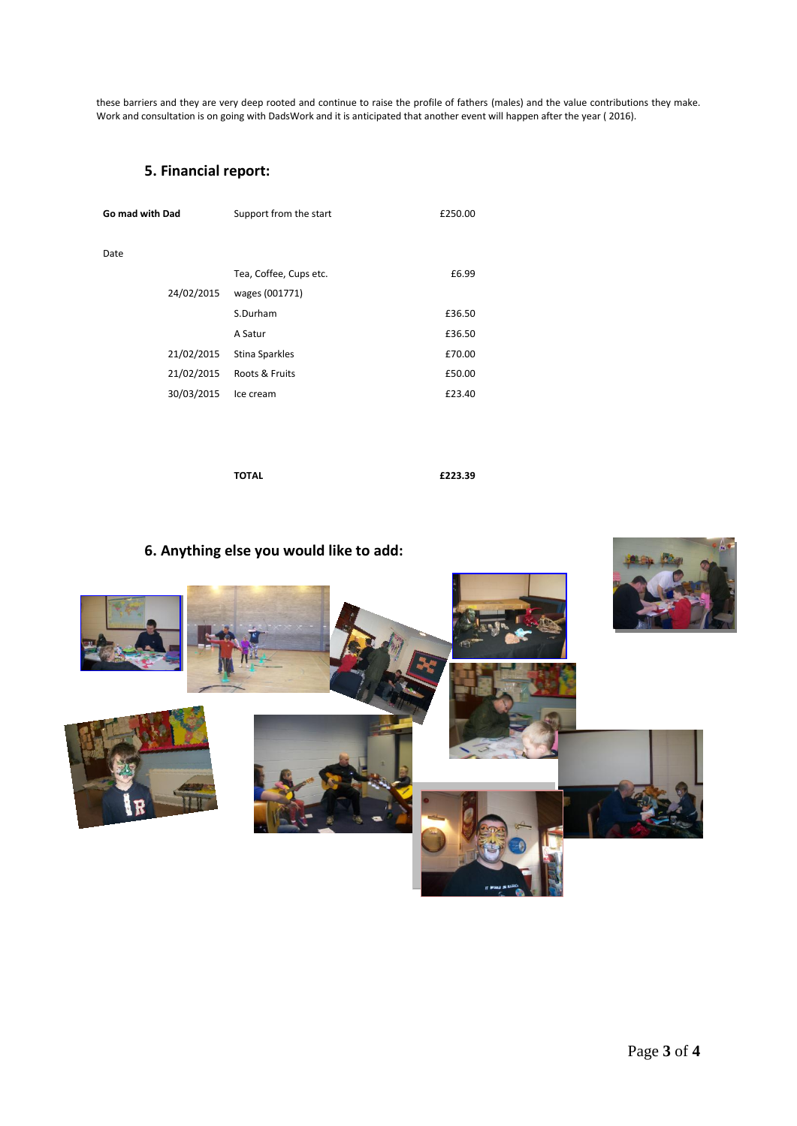these barriers and they are very deep rooted and continue to raise the profile of fathers (males) and the value contributions they make. Work and consultation is on going with DadsWork and it is anticipated that another event will happen after the year ( 2016).

## **5. Financial report:**

| Go mad with Dad | Support from the start | £250.00 |
|-----------------|------------------------|---------|
| Date            |                        |         |
|                 | Tea, Coffee, Cups etc. | £6.99   |
| 24/02/2015      | wages (001771)         |         |
|                 | S.Durham               | £36.50  |
|                 | A Satur                | £36.50  |
| 21/02/2015      | Stina Sparkles         | £70.00  |
| 21/02/2015      | Roots & Fruits         | £50.00  |
| 30/03/2015      | Ice cream              | £23.40  |
|                 |                        |         |

**TOTAL £223.39**

# **6. Anything else you would like to add:**